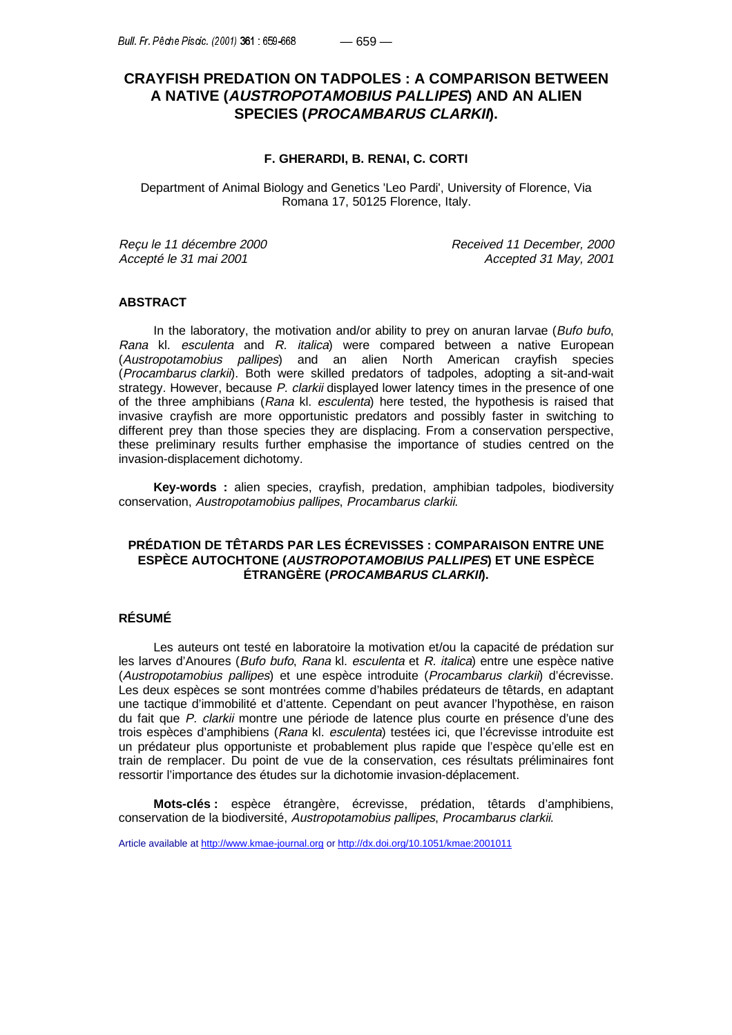# **CRAYFISH PREDATION ON TADPOLES : A COMPARISON BETWEEN A NATIVE (AUSTROPOTAMOBIUS PALLIPES) AND AN ALIEN SPECIES (PROCAMBARUS CLARKII).**

# **F. GHERARDI, B. RENAI, C. CORTI**

Department of Animal Biology and Genetics 'Leo Pardi', University of Florence, Via Romana 17, 50125 Florence, Italy.

Reçu le 11 décembre 2000 Received 11 December, 2000 Accepté le 31 mai 2001 Accepted 31 May, 2001

# **ABSTRACT**

In the laboratory, the motivation and/or ability to prey on anuran larvae (Bufo bufo, Rana kl. esculenta and R. italica) were compared between a native European (Austropotamobius pallipes) and an alien North American crayfish species (Procambarus clarkii). Both were skilled predators of tadpoles, adopting a sit-and-wait strategy. However, because P. clarkii displayed lower latency times in the presence of one of the three amphibians (Rana kl. esculenta) here tested, the hypothesis is raised that invasive crayfish are more opportunistic predators and possibly faster in switching to different prey than those species they are displacing. From a conservation perspective, these preliminary results further emphasise the importance of studies centred on the invasion-displacement dichotomy.

**Key-words :** alien species, crayfish, predation, amphibian tadpoles, biodiversity conservation, Austropotamobius pallipes, Procambarus clarkii.

# **PRÉDATION DE TÊTARDS PAR LES ÉCREVISSES : COMPARAISON ENTRE UNE ESPÈCE AUTOCHTONE (AUSTROPOTAMOBIUS PALLIPES) ET UNE ESPÈCE ÉTRANGÈRE (PROCAMBARUS CLARKII).**

# **RÉSUMÉ**

Les auteurs ont testé en laboratoire la motivation et/ou la capacité de prédation sur les larves d'Anoures (Bufo bufo, Rana kl. esculenta et R. italica) entre une espèce native (Austropotamobius pallipes) et une espèce introduite (Procambarus clarkii) d'écrevisse. Les deux espèces se sont montrées comme d'habiles prédateurs de têtards, en adaptant une tactique d'immobilité et d'attente. Cependant on peut avancer l'hypothèse, en raison du fait que P. clarkii montre une période de latence plus courte en présence d'une des trois espèces d'amphibiens (Rana kl. esculenta) testées ici, que l'écrevisse introduite est un prédateur plus opportuniste et probablement plus rapide que l'espèce qu'elle est en train de remplacer. Du point de vue de la conservation, ces résultats préliminaires font ressortir l'importance des études sur la dichotomie invasion-déplacement.

**Mots-clés :** espèce étrangère, écrevisse, prédation, têtards d'amphibiens, conservation de la biodiversité, Austropotamobius pallipes, Procambarus clarkii.

Article available at <http://www.kmae-journal.org> or <http://dx.doi.org/10.1051/kmae:2001011>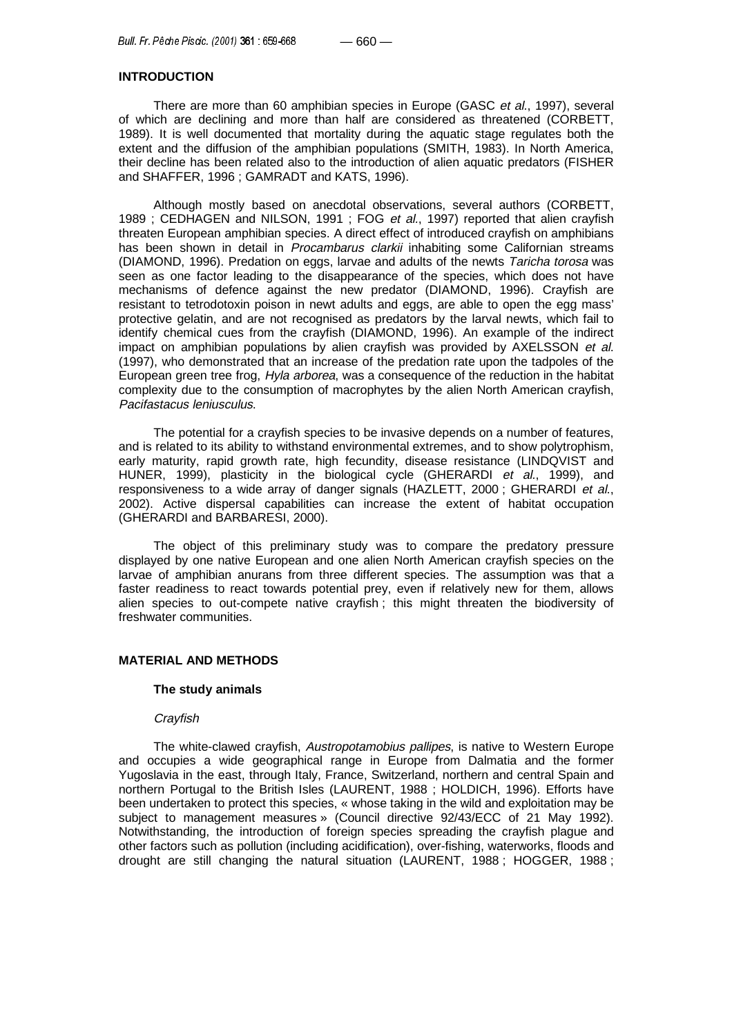# **INTRODUCTION**

Although mostly based on anecdotal observations, several authors (CORBETT, 1989 ; CEDHAGEN and NILSON, 1991 ; FOG et al., 1997) reported that alien crayfish threaten European amphibian species. A direct effect of introduced crayfish on amphibians has been shown in detail in *Procambarus clarkii* inhabiting some Californian streams (DIAMOND, 1996). Predation on eggs, larvae and adults of the newts Taricha torosa was seen as one factor leading to the disappearance of the species, which does not have mechanisms of defence against the new predator (DIAMOND, 1996). Crayfish are resistant to tetrodotoxin poison in newt adults and eggs, are able to open the egg mass' protective gelatin, and are not recognised as predators by the larval newts, which fail to identify chemical cues from the crayfish (DIAMOND, 1996). An example of the indirect impact on amphibian populations by alien crayfish was provided by AXELSSON et al. (1997), who demonstrated that an increase of the predation rate upon the tadpoles of the European green tree frog, Hyla arborea, was a consequence of the reduction in the habitat complexity due to the consumption of macrophytes by the alien North American crayfish, Pacifastacus leniusculus.

The potential for a crayfish species to be invasive depends on a number of features, and is related to its ability to withstand environmental extremes, and to show polytrophism, early maturity, rapid growth rate, high fecundity, disease resistance (LINDQVIST and HUNER, 1999), plasticity in the biological cycle (GHERARDI et al., 1999), and responsiveness to a wide array of danger signals (HAZLETT, 2000 ; GHERARDI et al., 2002). Active dispersal capabilities can increase the extent of habitat occupation (GHERARDI and BARBARESI, 2000).

The object of this preliminary study was to compare the predatory pressure displayed by one native European and one alien North American crayfish species on the larvae of amphibian anurans from three different species. The assumption was that a faster readiness to react towards potential prey, even if relatively new for them, allows alien species to out-compete native crayfish ; this might threaten the biodiversity of freshwater communities.

# **MATERIAL AND METHODS**

#### **The study animals**

#### **Crayfish**

The white-clawed crayfish, Austropotamobius pallipes, is native to Western Europe and occupies a wide geographical range in Europe from Dalmatia and the former Yugoslavia in the east, through Italy, France, Switzerland, northern and central Spain and northern Portugal to the British Isles (LAURENT, 1988 ; HOLDICH, 1996). Efforts have been undertaken to protect this species, « whose taking in the wild and exploitation may be subject to management measures » (Council directive 92/43/ECC of 21 May 1992). Notwithstanding, the introduction of foreign species spreading the crayfish plague and other factors such as pollution (including acidification), over-fishing, waterworks, floods and drought are still changing the natural situation (LAURENT, 1988 ; HOGGER, 1988 ;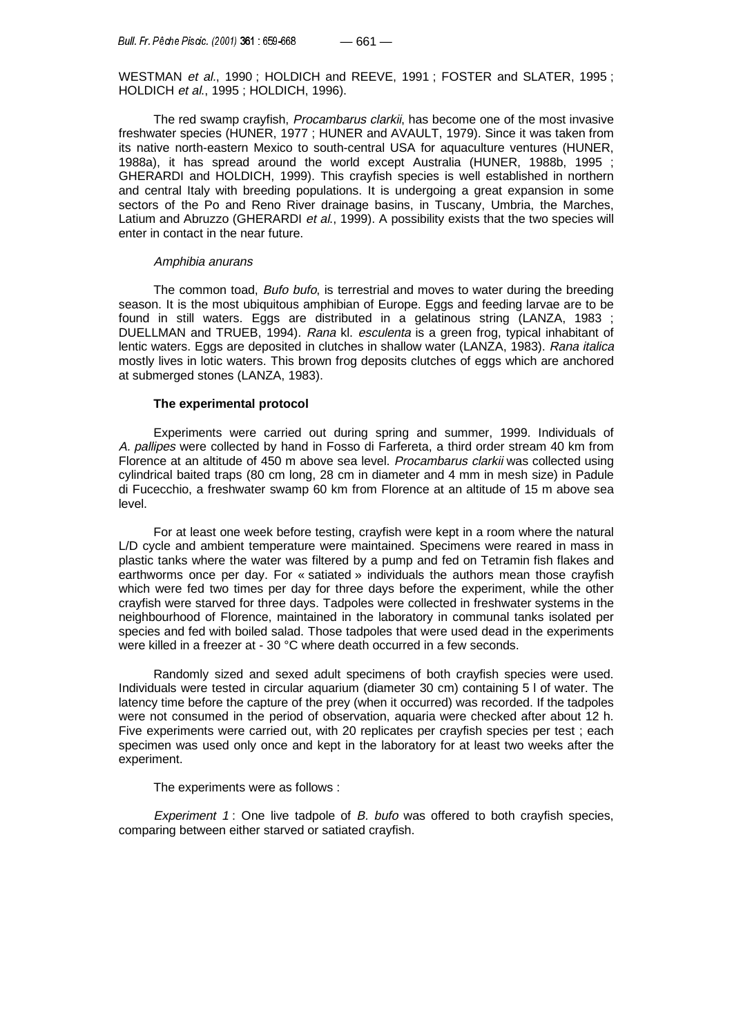WESTMAN et al., 1990 ; HOLDICH and REEVE, 1991 ; FOSTER and SLATER, 1995 ; HOLDICH et al., 1995 ; HOLDICH, 1996).

The red swamp crayfish, *Procambarus clarkii*, has become one of the most invasive freshwater species (HUNER, 1977 ; HUNER and AVAULT, 1979). Since it was taken from its native north-eastern Mexico to south-central USA for aquaculture ventures (HUNER, 1988a), it has spread around the world except Australia (HUNER, 1988b, 1995 ; GHERARDI and HOLDICH, 1999). This crayfish species is well established in northern and central Italy with breeding populations. It is undergoing a great expansion in some sectors of the Po and Reno River drainage basins, in Tuscany, Umbria, the Marches, Latium and Abruzzo (GHERARDI et al., 1999). A possibility exists that the two species will enter in contact in the near future.

#### Amphibia anurans

The common toad, Bufo bufo, is terrestrial and moves to water during the breeding season. It is the most ubiquitous amphibian of Europe. Eggs and feeding larvae are to be found in still waters. Eggs are distributed in a gelatinous string (LANZA, 1983 DUELLMAN and TRUEB, 1994). Rana kl. esculenta is a green frog, typical inhabitant of lentic waters. Eggs are deposited in clutches in shallow water (LANZA, 1983). Rana italica mostly lives in lotic waters. This brown frog deposits clutches of eggs which are anchored at submerged stones (LANZA, 1983).

#### **The experimental protocol**

Experiments were carried out during spring and summer, 1999. Individuals of A. pallipes were collected by hand in Fosso di Farfereta, a third order stream 40 km from Florence at an altitude of 450 m above sea level. Procambarus clarkii was collected using cylindrical baited traps (80 cm long, 28 cm in diameter and 4 mm in mesh size) in Padule di Fucecchio, a freshwater swamp 60 km from Florence at an altitude of 15 m above sea level.

For at least one week before testing, crayfish were kept in a room where the natural L/D cycle and ambient temperature were maintained. Specimens were reared in mass in plastic tanks where the water was filtered by a pump and fed on Tetramin fish flakes and earthworms once per day. For « satiated » individuals the authors mean those crayfish which were fed two times per day for three days before the experiment, while the other crayfish were starved for three days. Tadpoles were collected in freshwater systems in the neighbourhood of Florence, maintained in the laboratory in communal tanks isolated per species and fed with boiled salad. Those tadpoles that were used dead in the experiments were killed in a freezer at - 30 °C where death occurred in a few seconds.

Randomly sized and sexed adult specimens of both crayfish species were used. Individuals were tested in circular aquarium (diameter 30 cm) containing 5 l of water. The latency time before the capture of the prey (when it occurred) was recorded. If the tadpoles were not consumed in the period of observation, aquaria were checked after about 12 h. Five experiments were carried out, with 20 replicates per crayfish species per test ; each specimen was used only once and kept in the laboratory for at least two weeks after the experiment.

The experiments were as follows :

Experiment 1: One live tadpole of  $B$ . bufo was offered to both crayfish species, comparing between either starved or satiated crayfish.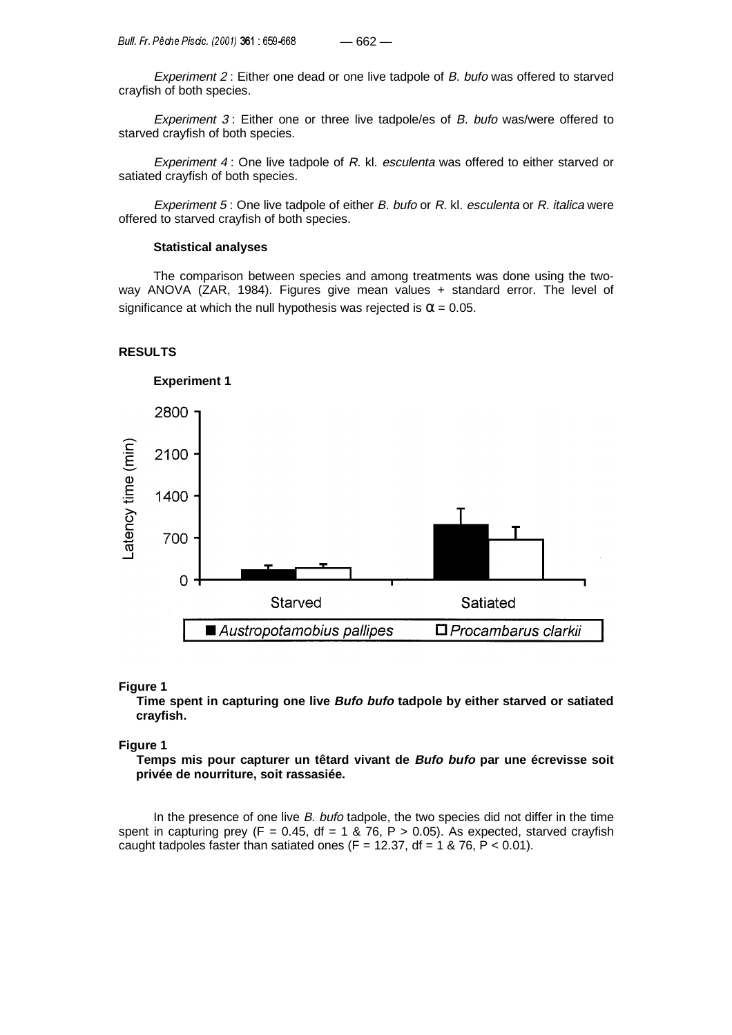Experiment 2 : Either one dead or one live tadpole of B. bufo was offered to starved crayfish of both species.

Experiment 3: Either one or three live tadpole/es of B. bufo was/were offered to starved crayfish of both species.

Experiment 4 : One live tadpole of R. kl. esculenta was offered to either starved or satiated crayfish of both species.

Experiment 5 : One live tadpole of either B. bufo or R. kl. esculenta or R. italica were offered to starved crayfish of both species.

## **Statistical analyses**

The comparison between species and among treatments was done using the twoway ANOVA (ZAR, 1984). Figures give mean values + standard error. The level of significance at which the null hypothesis was rejected is  $\alpha = 0.05$ .

## **RESULTS**



#### **Figure 1**

 **Time spent in capturing one live Bufo bufo tadpole by either starved or satiated crayfish.** 

#### **Figure 1**

 **Temps mis pour capturer un têtard vivant de Bufo bufo par une écrevisse soit privée de nourriture, soit rassasiée.** 

In the presence of one live  $B$ , bufo tadpole, the two species did not differ in the time spent in capturing prey (F = 0.45, df = 1 & 76, P > 0.05). As expected, starved crayfish caught tadpoles faster than satiated ones  $(F = 12.37, df = 1 \& 76, P < 0.01)$ .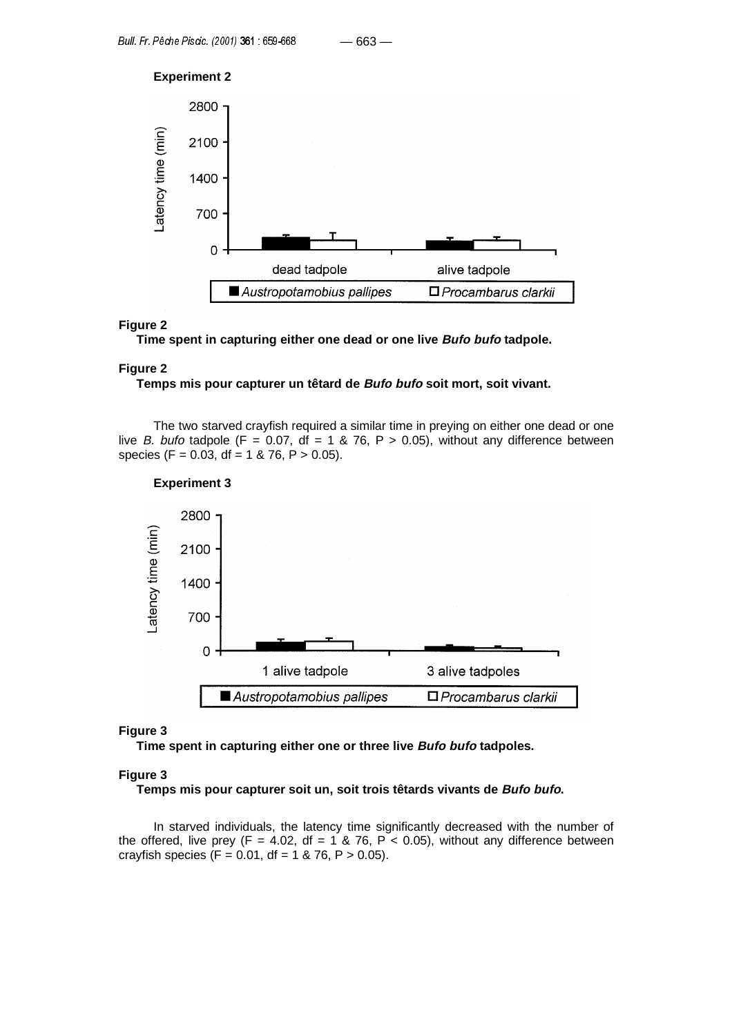

#### **Figure 2**



## **Figure 2**

#### **Temps mis pour capturer un têtard de Bufo bufo soit mort, soit vivant.**

The two starved crayfish required a similar time in preying on either one dead or one live B. bufo tadpole (F = 0.07, df = 1 & 76, P > 0.05), without any difference between species (F = 0.03, df = 1 & 76, P > 0.05).



# **Experiment 3**

# **Figure 3**

 **Time spent in capturing either one or three live Bufo bufo tadpoles.** 

## **Figure 3**

 **Temps mis pour capturer soit un, soit trois têtards vivants de Bufo bufo.** 

In starved individuals, the latency time significantly decreased with the number of the offered, live prey (F = 4.02, df = 1 & 76, P < 0.05), without any difference between crayfish species (F =  $0.01$ , df = 1 & 76, P >  $0.05$ ).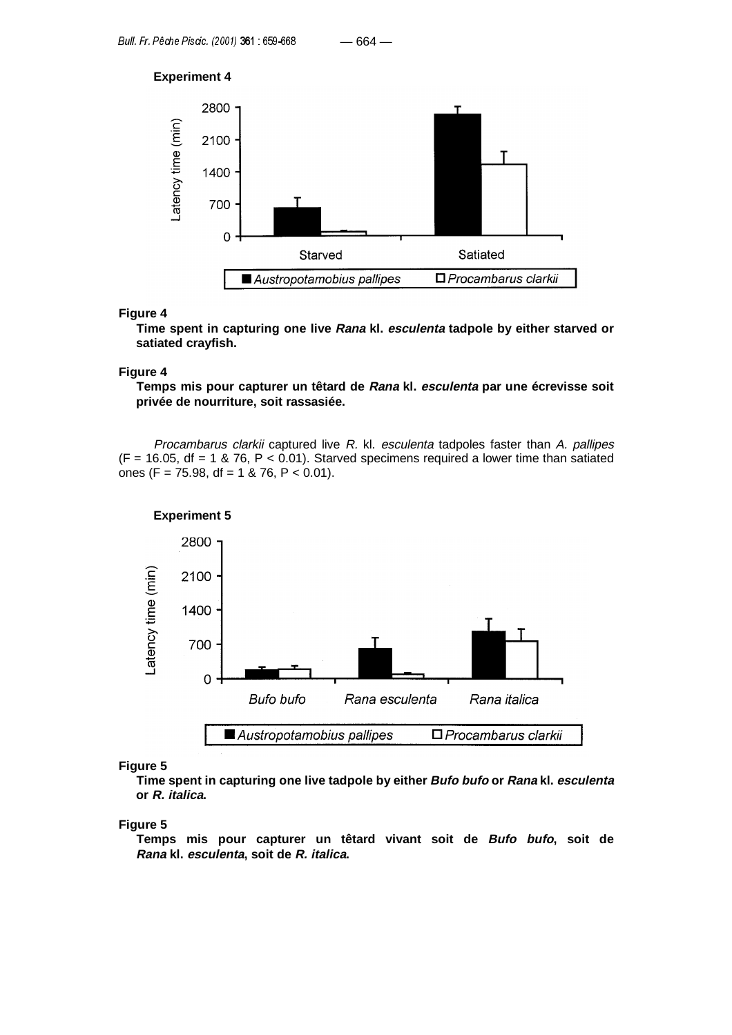# **Experiment 4**



## **Figure 4**

 **Time spent in capturing one live Rana kl. esculenta tadpole by either starved or satiated crayfish.** 

# **Figure 4**

 **Temps mis pour capturer un têtard de Rana kl. esculenta par une écrevisse soit privée de nourriture, soit rassasiée.** 

Procambarus clarkii captured live R. kl. esculenta tadpoles faster than A. pallipes  $(F = 16.05, df = 1 \& 76, P < 0.01)$ . Starved specimens required a lower time than satiated ones (F = 75.98, df = 1 & 76, P < 0.01).



#### **Figure 5**

 **Time spent in capturing one live tadpole by either Bufo bufo or Rana kl. esculenta or R. italica.** 

# **Figure 5**

 **Temps mis pour capturer un têtard vivant soit de Bufo bufo, soit de Rana kl. esculenta, soit de R. italica.**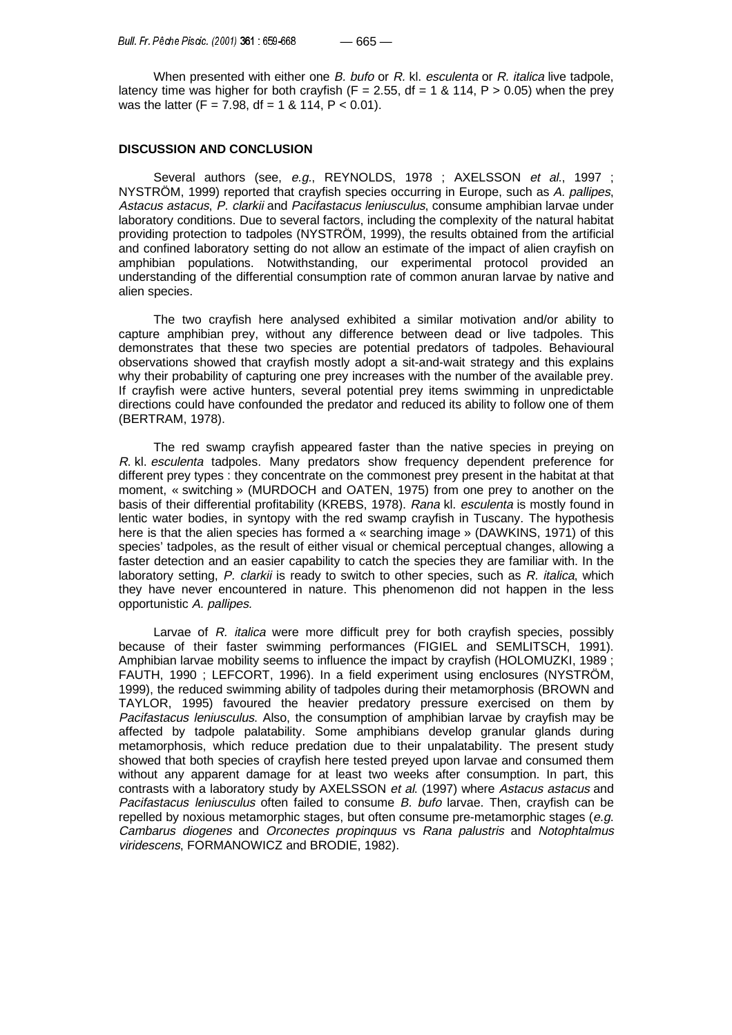When presented with either one B. bufo or R. kl. esculenta or R. italica live tadpole, latency time was higher for both crayfish (F = 2.55, df = 1 & 114, P > 0.05) when the prey was the latter (F =  $7.98$ , df = 1 & 114, P < 0.01).

#### **DISCUSSION AND CONCLUSION**

Several authors (see, e.g., REYNOLDS, 1978 ; AXELSSON et al., 1997 ; NYSTRÖM, 1999) reported that crayfish species occurring in Europe, such as A. pallipes, Astacus astacus, P. clarkii and Pacifastacus leniusculus, consume amphibian larvae under laboratory conditions. Due to several factors, including the complexity of the natural habitat providing protection to tadpoles (NYSTRÖM, 1999), the results obtained from the artificial and confined laboratory setting do not allow an estimate of the impact of alien crayfish on amphibian populations. Notwithstanding, our experimental protocol provided an understanding of the differential consumption rate of common anuran larvae by native and alien species.

The two crayfish here analysed exhibited a similar motivation and/or ability to capture amphibian prey, without any difference between dead or live tadpoles. This demonstrates that these two species are potential predators of tadpoles. Behavioural observations showed that crayfish mostly adopt a sit-and-wait strategy and this explains why their probability of capturing one prey increases with the number of the available prey. If crayfish were active hunters, several potential prey items swimming in unpredictable directions could have confounded the predator and reduced its ability to follow one of them (BERTRAM, 1978).

The red swamp crayfish appeared faster than the native species in preying on R. kl. esculenta tadpoles. Many predators show frequency dependent preference for different prey types : they concentrate on the commonest prey present in the habitat at that moment, « switching » (MURDOCH and OATEN, 1975) from one prey to another on the basis of their differential profitability (KREBS, 1978). Rana kl. esculenta is mostly found in lentic water bodies, in syntopy with the red swamp crayfish in Tuscany. The hypothesis here is that the alien species has formed a « searching image » (DAWKINS, 1971) of this species' tadpoles, as the result of either visual or chemical perceptual changes, allowing a faster detection and an easier capability to catch the species they are familiar with. In the laboratory setting,  $P$ . clarkii is ready to switch to other species, such as  $R$ . *italica*, which they have never encountered in nature. This phenomenon did not happen in the less opportunistic A. pallipes.

Larvae of R. italica were more difficult prey for both crayfish species, possibly because of their faster swimming performances (FIGIEL and SEMLITSCH, 1991). Amphibian larvae mobility seems to influence the impact by crayfish (HOLOMUZKI, 1989 ; FAUTH, 1990 ; LEFCORT, 1996). In a field experiment using enclosures (NYSTRÖM, 1999), the reduced swimming ability of tadpoles during their metamorphosis (BROWN and TAYLOR, 1995) favoured the heavier predatory pressure exercised on them by Pacifastacus leniusculus. Also, the consumption of amphibian larvae by crayfish may be affected by tadpole palatability. Some amphibians develop granular glands during metamorphosis, which reduce predation due to their unpalatability. The present study showed that both species of crayfish here tested preyed upon larvae and consumed them without any apparent damage for at least two weeks after consumption. In part, this contrasts with a laboratory study by AXELSSON et al. (1997) where Astacus astacus and Pacifastacus leniusculus often failed to consume B. bufo larvae. Then, crayfish can be repelled by noxious metamorphic stages, but often consume pre-metamorphic stages ( $e.g.$ Cambarus diogenes and Orconectes propinquus vs Rana palustris and Notophtalmus viridescens, FORMANOWICZ and BRODIE, 1982).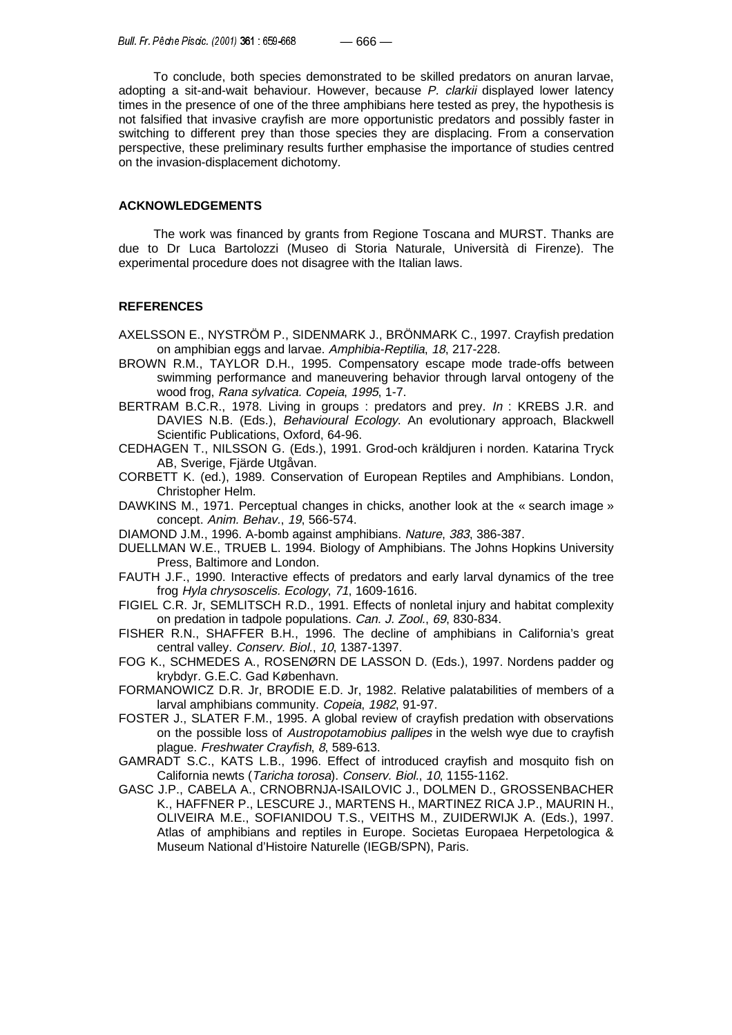To conclude, both species demonstrated to be skilled predators on anuran larvae, adopting a sit-and-wait behaviour. However, because P. clarkii displayed lower latency times in the presence of one of the three amphibians here tested as prey, the hypothesis is not falsified that invasive crayfish are more opportunistic predators and possibly faster in switching to different prey than those species they are displacing. From a conservation perspective, these preliminary results further emphasise the importance of studies centred on the invasion-displacement dichotomy.

#### **ACKNOWLEDGEMENTS**

The work was financed by grants from Regione Toscana and MURST. Thanks are due to Dr Luca Bartolozzi (Museo di Storia Naturale, Università di Firenze). The experimental procedure does not disagree with the Italian laws.

# **REFERENCES**

- AXELSSON E., NYSTRÖM P., SIDENMARK J., BRÖNMARK C., 1997. Crayfish predation on amphibian eggs and larvae. Amphibia-Reptilia, 18, 217-228.
- BROWN R.M., TAYLOR D.H., 1995. Compensatory escape mode trade-offs between swimming performance and maneuvering behavior through larval ontogeny of the wood frog, Rana sylvatica. Copeia, 1995, 1-7.
- BERTRAM B.C.R., 1978. Living in groups : predators and prey. In : KREBS J.R. and DAVIES N.B. (Eds.), Behavioural Ecology. An evolutionary approach, Blackwell Scientific Publications, Oxford, 64-96.
- CEDHAGEN T., NILSSON G. (Eds.), 1991. Grod-och kräldjuren i norden. Katarina Tryck AB, Sverige, Fjärde Utgåvan.
- CORBETT K. (ed.), 1989. Conservation of European Reptiles and Amphibians. London, Christopher Helm.
- DAWKINS M., 1971. Perceptual changes in chicks, another look at the « search image » concept. Anim. Behav., 19, 566-574.

DIAMOND J.M., 1996. A-bomb against amphibians. Nature, 383, 386-387.

- DUELLMAN W.E., TRUEB L. 1994. Biology of Amphibians. The Johns Hopkins University Press, Baltimore and London.
- FAUTH J.F., 1990. Interactive effects of predators and early larval dynamics of the tree frog Hyla chrysoscelis. Ecology, 71, 1609-1616.
- FIGIEL C.R. Jr, SEMLITSCH R.D., 1991. Effects of nonletal injury and habitat complexity on predation in tadpole populations. Can. J. Zool., 69, 830-834.
- FISHER R.N., SHAFFER B.H., 1996. The decline of amphibians in California's great central valley. Conserv. Biol., 10, 1387-1397.
- FOG K., SCHMEDES A., ROSENØRN DE LASSON D. (Eds.), 1997. Nordens padder og krybdyr. G.E.C. Gad København.
- FORMANOWICZ D.R. Jr, BRODIE E.D. Jr, 1982. Relative palatabilities of members of a larval amphibians community. Copeia, 1982, 91-97.
- FOSTER J., SLATER F.M., 1995. A global review of crayfish predation with observations on the possible loss of Austropotamobius pallipes in the welsh wye due to crayfish plague. Freshwater Crayfish, 8, 589-613.
- GAMRADT S.C., KATS L.B., 1996. Effect of introduced crayfish and mosquito fish on California newts (Taricha torosa). Conserv. Biol., 10, 1155-1162.
- GASC J.P., CABELA A., CRNOBRNJA-ISAILOVIC J., DOLMEN D., GROSSENBACHER K., HAFFNER P., LESCURE J., MARTENS H., MARTINEZ RICA J.P., MAURIN H., OLIVEIRA M.E., SOFIANIDOU T.S., VEITHS M., ZUIDERWIJK A. (Eds.), 1997. Atlas of amphibians and reptiles in Europe. Societas Europaea Herpetologica & Museum National d'Histoire Naturelle (IEGB/SPN), Paris.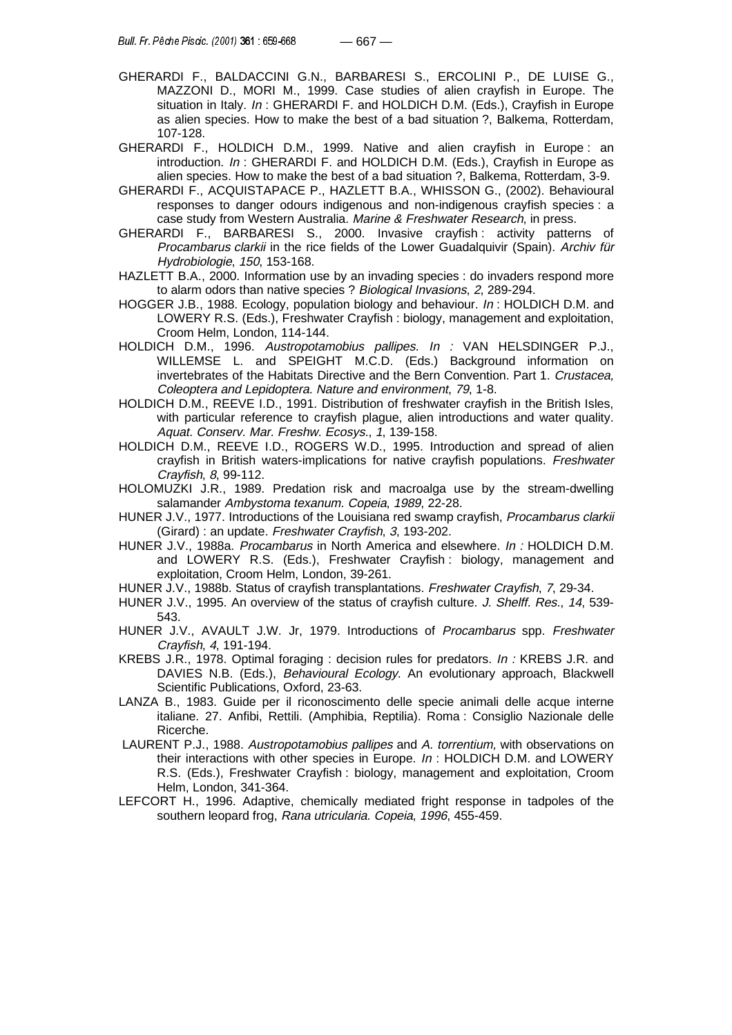- GHERARDI F., BALDACCINI G.N., BARBARESI S., ERCOLINI P., DE LUISE G., MAZZONI D., MORI M., 1999. Case studies of alien crayfish in Europe. The situation in Italy. In : GHERARDI F. and HOLDICH D.M. (Eds.), Crayfish in Europe as alien species. How to make the best of a bad situation ?, Balkema, Rotterdam, 107-128.
- GHERARDI F., HOLDICH D.M., 1999. Native and alien crayfish in Europe : an introduction. In : GHERARDI F. and HOLDICH D.M. (Eds.), Crayfish in Europe as alien species. How to make the best of a bad situation ?, Balkema, Rotterdam, 3-9.
- GHERARDI F., ACQUISTAPACE P., HAZLETT B.A., WHISSON G., (2002). Behavioural responses to danger odours indigenous and non-indigenous crayfish species : a case study from Western Australia. Marine & Freshwater Research, in press.
- GHERARDI F., BARBARESI S., 2000. Invasive crayfish : activity patterns of Procambarus clarkii in the rice fields of the Lower Guadalquivir (Spain). Archiv für Hydrobiologie, 150, 153-168.
- HAZLETT B.A., 2000. Information use by an invading species : do invaders respond more to alarm odors than native species ? Biological Invasions, 2, 289-294.
- HOGGER J.B., 1988. Ecology, population biology and behaviour. In : HOLDICH D.M. and LOWERY R.S. (Eds.), Freshwater Crayfish : biology, management and exploitation, Croom Helm, London, 114-144.
- HOLDICH D.M., 1996. Austropotamobius pallipes. In : VAN HELSDINGER P.J., WILLEMSE L. and SPEIGHT M.C.D. (Eds.) Background information on invertebrates of the Habitats Directive and the Bern Convention. Part 1. Crustacea, Coleoptera and Lepidoptera. Nature and environment, 79, 1-8.
- HOLDICH D.M., REEVE I.D., 1991. Distribution of freshwater crayfish in the British Isles, with particular reference to crayfish plague, alien introductions and water quality. Aquat. Conserv. Mar. Freshw. Ecosys., 1, 139-158.
- HOLDICH D.M., REEVE I.D., ROGERS W.D., 1995. Introduction and spread of alien crayfish in British waters-implications for native crayfish populations. Freshwater Crayfish, 8, 99-112.
- HOLOMUZKI J.R., 1989. Predation risk and macroalga use by the stream-dwelling salamander Ambystoma texanum. Copeia, 1989, 22-28.
- HUNER J.V., 1977. Introductions of the Louisiana red swamp crayfish, Procambarus clarkii (Girard) : an update. Freshwater Crayfish, 3, 193-202.
- HUNER J.V., 1988a. Procambarus in North America and elsewhere. In: HOLDICH D.M. and LOWERY R.S. (Eds.), Freshwater Crayfish : biology, management and exploitation, Croom Helm, London, 39-261.
- HUNER J.V., 1988b. Status of crayfish transplantations. Freshwater Crayfish, 7, 29-34.
- HUNER J.V., 1995. An overview of the status of crayfish culture. J. Shelff. Res., 14, 539- 543.
- HUNER J.V., AVAULT J.W. Jr. 1979. Introductions of *Procambarus* spp. Freshwater Crayfish, 4, 191-194.
- KREBS J.R., 1978. Optimal foraging : decision rules for predators. In : KREBS J.R. and DAVIES N.B. (Eds.), Behavioural Ecology. An evolutionary approach, Blackwell Scientific Publications, Oxford, 23-63.
- LANZA B., 1983. Guide per il riconoscimento delle specie animali delle acque interne italiane. 27. Anfibi, Rettili. (Amphibia, Reptilia). Roma : Consiglio Nazionale delle Ricerche.
- LAURENT P.J., 1988. Austropotamobius pallipes and A. torrentium, with observations on their interactions with other species in Europe. In : HOLDICH D.M. and LOWERY R.S. (Eds.), Freshwater Crayfish : biology, management and exploitation, Croom Helm, London, 341-364.
- LEFCORT H., 1996. Adaptive, chemically mediated fright response in tadpoles of the southern leopard frog, Rana utricularia. Copeia, 1996, 455-459.